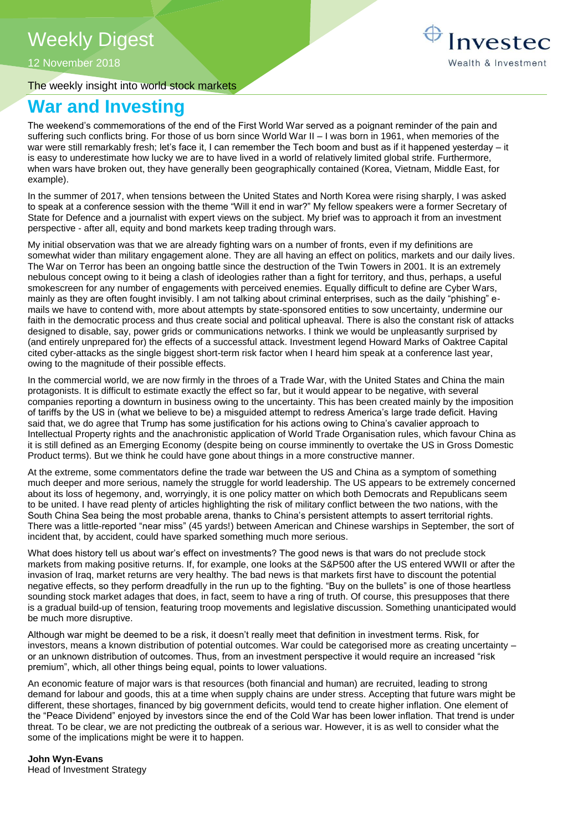12 November 2018

The weekly insight into world stock markets

# Investec Wealth & Investment

## **War and Investing**

The weekend's commemorations of the end of the First World War served as a poignant reminder of the pain and suffering such conflicts bring. For those of us born since World War II – I was born in 1961, when memories of the war were still remarkably fresh; let's face it, I can remember the Tech boom and bust as if it happened yesterday – it is easy to underestimate how lucky we are to have lived in a world of relatively limited global strife. Furthermore, when wars have broken out, they have generally been geographically contained (Korea, Vietnam, Middle East, for example).

In the summer of 2017, when tensions between the United States and North Korea were rising sharply, I was asked to speak at a conference session with the theme "Will it end in war?" My fellow speakers were a former Secretary of State for Defence and a journalist with expert views on the subject. My brief was to approach it from an investment perspective - after all, equity and bond markets keep trading through wars.

My initial observation was that we are already fighting wars on a number of fronts, even if my definitions are somewhat wider than military engagement alone. They are all having an effect on politics, markets and our daily lives. The War on Terror has been an ongoing battle since the destruction of the Twin Towers in 2001. It is an extremely nebulous concept owing to it being a clash of ideologies rather than a fight for territory, and thus, perhaps, a useful smokescreen for any number of engagements with perceived enemies. Equally difficult to define are Cyber Wars, mainly as they are often fought invisibly. I am not talking about criminal enterprises, such as the daily "phishing" emails we have to contend with, more about attempts by state-sponsored entities to sow uncertainty, undermine our faith in the democratic process and thus create social and political upheaval. There is also the constant risk of attacks designed to disable, say, power grids or communications networks. I think we would be unpleasantly surprised by (and entirely unprepared for) the effects of a successful attack. Investment legend Howard Marks of Oaktree Capital cited cyber-attacks as the single biggest short-term risk factor when I heard him speak at a conference last year, owing to the magnitude of their possible effects.

In the commercial world, we are now firmly in the throes of a Trade War, with the United States and China the main protagonists. It is difficult to estimate exactly the effect so far, but it would appear to be negative, with several companies reporting a downturn in business owing to the uncertainty. This has been created mainly by the imposition of tariffs by the US in (what we believe to be) a misguided attempt to redress America's large trade deficit. Having said that, we do agree that Trump has some justification for his actions owing to China's cavalier approach to Intellectual Property rights and the anachronistic application of World Trade Organisation rules, which favour China as it is still defined as an Emerging Economy (despite being on course imminently to overtake the US in Gross Domestic Product terms). But we think he could have gone about things in a more constructive manner.

At the extreme, some commentators define the trade war between the US and China as a symptom of something much deeper and more serious, namely the struggle for world leadership. The US appears to be extremely concerned about its loss of hegemony, and, worryingly, it is one policy matter on which both Democrats and Republicans seem to be united. I have read plenty of articles highlighting the risk of military conflict between the two nations, with the South China Sea being the most probable arena, thanks to China's persistent attempts to assert territorial rights. There was a little-reported "near miss" (45 yards!) between American and Chinese warships in September, the sort of incident that, by accident, could have sparked something much more serious.

What does history tell us about war's effect on investments? The good news is that wars do not preclude stock markets from making positive returns. If, for example, one looks at the S&P500 after the US entered WWII or after the invasion of Iraq, market returns are very healthy. The bad news is that markets first have to discount the potential negative effects, so they perform dreadfully in the run up to the fighting. "Buy on the bullets" is one of those heartless sounding stock market adages that does, in fact, seem to have a ring of truth. Of course, this presupposes that there is a gradual build-up of tension, featuring troop movements and legislative discussion. Something unanticipated would be much more disruptive.

Although war might be deemed to be a risk, it doesn't really meet that definition in investment terms. Risk, for investors, means a known distribution of potential outcomes. War could be categorised more as creating uncertainty – or an unknown distribution of outcomes. Thus, from an investment perspective it would require an increased "risk premium", which, all other things being equal, points to lower valuations.

An economic feature of major wars is that resources (both financial and human) are recruited, leading to strong demand for labour and goods, this at a time when supply chains are under stress. Accepting that future wars might be different, these shortages, financed by big government deficits, would tend to create higher inflation. One element of the "Peace Dividend" enjoyed by investors since the end of the Cold War has been lower inflation. That trend is under threat. To be clear, we are not predicting the outbreak of a serious war. However, it is as well to consider what the some of the implications might be were it to happen.

**John Wyn-Evans** Head of Investment Strategy